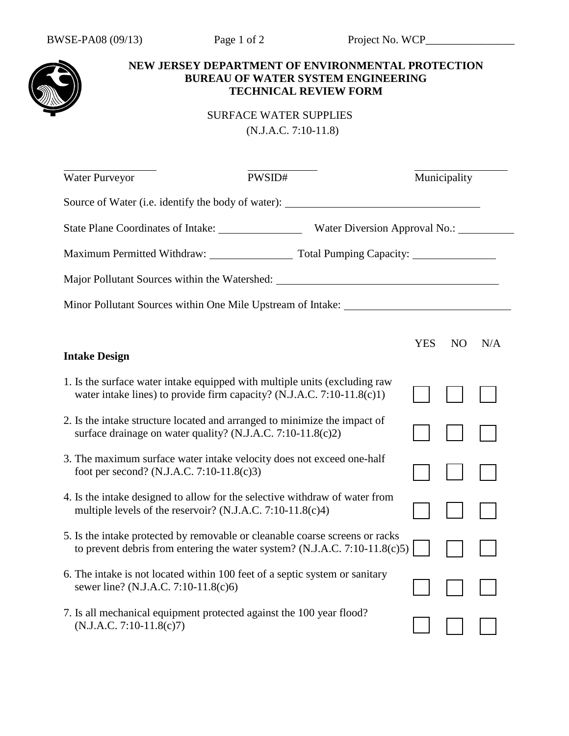

## **NEW JERSEY DEPARTMENT OF ENVIRONMENTAL PROTECTION BUREAU OF WATER SYSTEM ENGINEERING TECHNICAL REVIEW FORM**

 SURFACE WATER SUPPLIES (N.J.A.C. 7:10-11.8)

| Water Purveyor                                                                                                                                       | PWSID#                                                                       |            | Municipality   |     |  |  |  |
|------------------------------------------------------------------------------------------------------------------------------------------------------|------------------------------------------------------------------------------|------------|----------------|-----|--|--|--|
| Source of Water (i.e. identify the body of water): _______                                                                                           |                                                                              |            |                |     |  |  |  |
| Water Diversion Approval No.: ________                                                                                                               |                                                                              |            |                |     |  |  |  |
| Maximum Permitted Withdraw: Total Pumping Capacity: 1996. [19] Maximum Permitted Withdraw:                                                           |                                                                              |            |                |     |  |  |  |
| Major Pollutant Sources within the Watershed: ___________________________________                                                                    |                                                                              |            |                |     |  |  |  |
| Minor Pollutant Sources within One Mile Upstream of Intake: _____________________                                                                    |                                                                              |            |                |     |  |  |  |
|                                                                                                                                                      |                                                                              | <b>YES</b> | N <sub>O</sub> | N/A |  |  |  |
| <b>Intake Design</b>                                                                                                                                 |                                                                              |            |                |     |  |  |  |
| 1. Is the surface water intake equipped with multiple units (excluding raw<br>water intake lines) to provide firm capacity? (N.J.A.C. 7:10-11.8(c)1) |                                                                              |            |                |     |  |  |  |
| 2. Is the intake structure located and arranged to minimize the impact of<br>surface drainage on water quality? (N.J.A.C. 7:10-11.8(c)2)             |                                                                              |            |                |     |  |  |  |
| 3. The maximum surface water intake velocity does not exceed one-half<br>foot per second? (N.J.A.C. 7:10-11.8(c)3)                                   |                                                                              |            |                |     |  |  |  |
| 4. Is the intake designed to allow for the selective withdraw of water from<br>multiple levels of the reservoir? (N.J.A.C. 7:10-11.8(c)4)            |                                                                              |            |                |     |  |  |  |
| 5. Is the intake protected by removable or cleanable coarse screens or racks                                                                         | to prevent debris from entering the water system? $(N.J.A.C. 7:10-11.8(c)5)$ |            |                |     |  |  |  |
| 6. The intake is not located within 100 feet of a septic system or sanitary<br>sewer line? (N.J.A.C. 7:10-11.8(c)6)                                  |                                                                              |            |                |     |  |  |  |
| 7. Is all mechanical equipment protected against the 100 year flood?<br>$(N.J.A.C. 7:10-11.8(c)7)$                                                   |                                                                              |            |                |     |  |  |  |